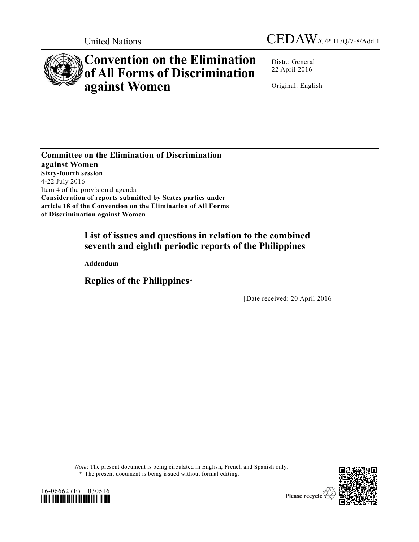



# **Convention on the Elimination of All Forms of Discrimination against Women**

Distr.: General 22 April 2016

Original: English

**Committee on the Elimination of Discrimination against Women Sixty-fourth session** 4-22 July 2016 Item 4 of the provisional agenda **Consideration of reports submitted by States parties under article 18 of the Convention on the Elimination of All Forms of Discrimination against Women**

# **List of issues and questions in relation to the combined seventh and eighth periodic reports of the Philippines**

**Addendum** 

**Replies of the Philippines**\*

[Date received: 20 April 2016]

*Note*: The present document is being circulated in English, French and Spanish only. \* The present document is being issued without formal editing.



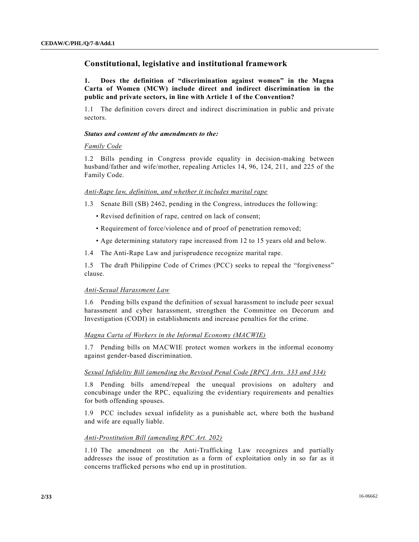# **Constitutional, legislative and institutional framework**

**1. Does the definition of "discrimination against women" in the Magna Carta of Women (MCW) include direct and indirect discrimination in the public and private sectors, in line with Article 1 of the Convention?**

1.1 The definition covers direct and indirect discrimination in public and private sectors.

#### *Status and content of the amendments to the:*

#### *Family Code*

1.2 Bills pending in Congress provide equality in decision-making between husband/father and wife/mother, repealing Articles 14, 96, 124, 211, and 225 of the Family Code.

#### *Anti-Rape law, definition, and whether it includes marital rape*

1.3 Senate Bill (SB) 2462, pending in the Congress, introduces the following:

- Revised definition of rape, centred on lack of consent;
- Requirement of force/violence and of proof of penetration removed;
- Age determining statutory rape increased from 12 to 15 years old and below.
- 1.4 The Anti-Rape Law and jurisprudence recognize marital rape.

1.5 The draft Philippine Code of Crimes (PCC) seeks to repeal the "forgiveness" clause.

#### *Anti-Sexual Harassment Law*

1.6 Pending bills expand the definition of sexual harassment to include peer sexual harassment and cyber harassment, strengthen the Committee on Decorum and Investigation (CODI) in establishments and increase penalties for the crime.

# *Magna Carta of Workers in the Informal Economy (MACWIE)*

1.7 Pending bills on MACWIE protect women workers in the informal economy against gender-based discrimination.

#### *Sexual Infidelity Bill (amending the Revised Penal Code [RPC] Arts. 333 and 334)*

1.8 Pending bills amend/repeal the unequal provisions on adultery and concubinage under the RPC, equalizing the evidentiary requirements and penalties for both offending spouses.

1.9 PCC includes sexual infidelity as a punishable act, where both the husband and wife are equally liable.

# *Anti-Prostitution Bill (amending RPC Art. 202)*

1.10 The amendment on the Anti-Trafficking Law recognizes and partially addresses the issue of prostitution as a form of exploitation only in so far as it concerns trafficked persons who end up in prostitution.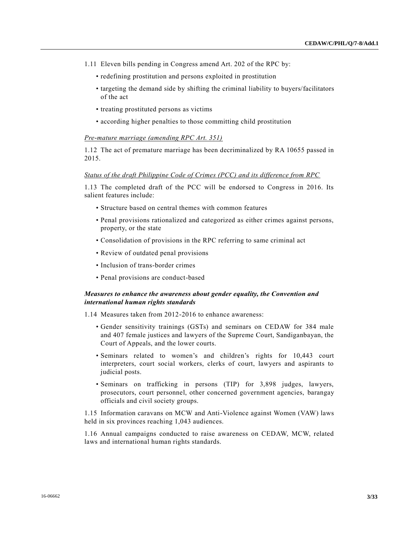- 1.11 Eleven bills pending in Congress amend Art. 202 of the RPC by:
	- redefining prostitution and persons exploited in prostitution
	- targeting the demand side by shifting the criminal liability to buyers/facilitators of the act
	- treating prostituted persons as victims
	- according higher penalties to those committing child prostitution

#### *Pre-mature marriage (amending RPC Art. 351)*

1.12 The act of premature marriage has been decriminalized by RA 10655 passed in 2015.

#### *Status of the draft Philippine Code of Crimes (PCC) and its difference from RPC*

1.13 The completed draft of the PCC will be endorsed to Congress in 2016. Its salient features include:

- Structure based on central themes with common features
- Penal provisions rationalized and categorized as either crimes against persons, property, or the state
- Consolidation of provisions in the RPC referring to same criminal act
- Review of outdated penal provisions
- Inclusion of trans-border crimes
- Penal provisions are conduct-based

# *Measures to enhance the awareness about gender equality, the Convention and international human rights standards*

1.14 Measures taken from 2012-2016 to enhance awareness:

- Gender sensitivity trainings (GSTs) and seminars on CEDAW for 384 male and 407 female justices and lawyers of the Supreme Court, Sandiganbayan, the Court of Appeals, and the lower courts.
- Seminars related to women's and children's rights for 10,443 court interpreters, court social workers, clerks of court, lawyers and aspirants to judicial posts.
- Seminars on trafficking in persons (TIP) for 3,898 judges, lawyers, prosecutors, court personnel, other concerned government agencies, barangay officials and civil society groups.

1.15 Information caravans on MCW and Anti-Violence against Women (VAW) laws held in six provinces reaching 1,043 audiences.

1.16 Annual campaigns conducted to raise awareness on CEDAW, MCW, related laws and international human rights standards.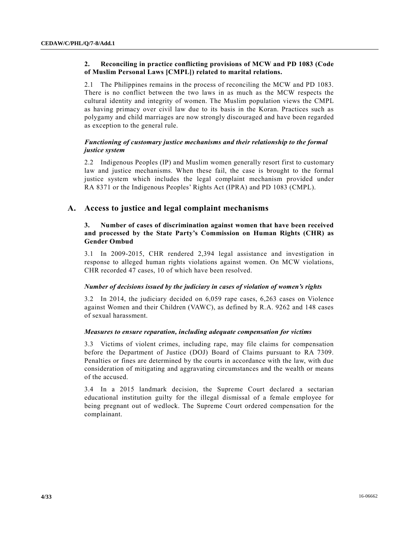# **2. Reconciling in practice conflicting provisions of MCW and PD 1083 (Code of Muslim Personal Laws [CMPL]) related to marital relations.**

2.1 The Philippines remains in the process of reconciling the MCW and PD 1083. There is no conflict between the two laws in as much as the MCW respects the cultural identity and integrity of women. The Muslim population views the CMPL as having primacy over civil law due to its basis in the Koran. Practices such as polygamy and child marriages are now strongly discouraged and have been regarded as exception to the general rule.

# *Functioning of customary justice mechanisms and their relationship to the formal justice system*

2.2 Indigenous Peoples (IP) and Muslim women generally resort first to customary law and justice mechanisms. When these fail, the case is brought to the formal justice system which includes the legal complaint mechanism provided under RA 8371 or the Indigenous Peoples' Rights Act (IPRA) and PD 1083 (CMPL).

# **A. Access to justice and legal complaint mechanisms**

# **3. Number of cases of discrimination against women that have been received and processed by the State Party's Commission on Human Rights (CHR) as Gender Ombud**

3.1 In 2009-2015, CHR rendered 2,394 legal assistance and investigation in response to alleged human rights violations against women. On MCW violations, CHR recorded 47 cases, 10 of which have been resolved.

#### *Number of decisions issued by the judiciary in cases of violation of women's rights*

3.2 In 2014, the judiciary decided on 6,059 rape cases, 6,263 cases on Violence against Women and their Children (VAWC), as defined by R.A. 9262 and 148 cases of sexual harassment.

#### *Measures to ensure reparation, including adequate compensation for victims*

3.3 Victims of violent crimes, including rape, may file claims for compensation before the Department of Justice (DOJ) Board of Claims pursuant to RA 7309. Penalties or fines are determined by the courts in accordance with the law, with due consideration of mitigating and aggravating circumstances and the wealth or means of the accused.

3.4 In a 2015 landmark decision, the Supreme Court declared a sectarian educational institution guilty for the illegal dismissal of a female employee for being pregnant out of wedlock. The Supreme Court ordered compensation for the complainant.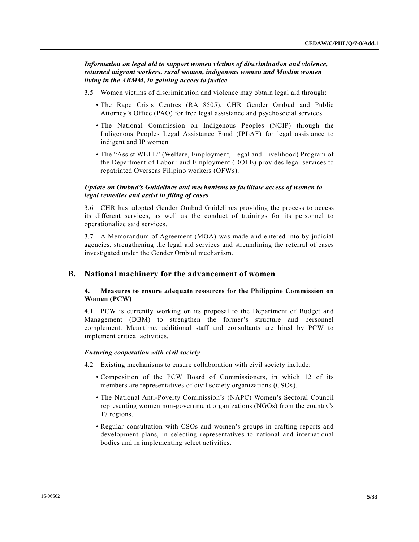*Information on legal aid to support women victims of discrimination and violence, returned migrant workers, rural women, indigenous women and Muslim women living in the ARMM, in gaining access to justice*

- 3.5 Women victims of discrimination and violence may obtain legal aid through:
	- The Rape Crisis Centres (RA 8505), CHR Gender Ombud and Public Attorney's Office (PAO) for free legal assistance and psychosocial services
	- The National Commission on Indigenous Peoples (NCIP) through the Indigenous Peoples Legal Assistance Fund (IPLAF) for legal assistance to indigent and IP women
	- The "Assist WELL" (Welfare, Employment, Legal and Livelihood) Program of the Department of Labour and Employment (DOLE) provides legal services to repatriated Overseas Filipino workers (OFWs).

# *Update on Ombud's Guidelines and mechanisms to facilitate access of women to legal remedies and assist in filing of cases*

3.6 CHR has adopted Gender Ombud Guidelines providing the process to access its different services, as well as the conduct of trainings for its personnel to operationalize said services.

3.7 A Memorandum of Agreement (MOA) was made and entered into by judicial agencies, strengthening the legal aid services and streamlining the referral of cases investigated under the Gender Ombud mechanism.

# **B. National machinery for the advancement of women**

# **4. Measures to ensure adequate resources for the Philippine Commission on Women (PCW)**

4.1 PCW is currently working on its proposal to the Department of Budget and Management (DBM) to strengthen the former's structure and personnel complement. Meantime, additional staff and consultants are hired by PCW to implement critical activities.

#### *Ensuring cooperation with civil society*

- 4.2 Existing mechanisms to ensure collaboration with civil society include:
	- Composition of the PCW Board of Commissioners, in which 12 of its members are representatives of civil society organizations (CSOs).
	- The National Anti-Poverty Commission's (NAPC) Women's Sectoral Council representing women non-government organizations (NGOs) from the country's 17 regions.
	- Regular consultation with CSOs and women's groups in crafting reports and development plans, in selecting representatives to national and international bodies and in implementing select activities.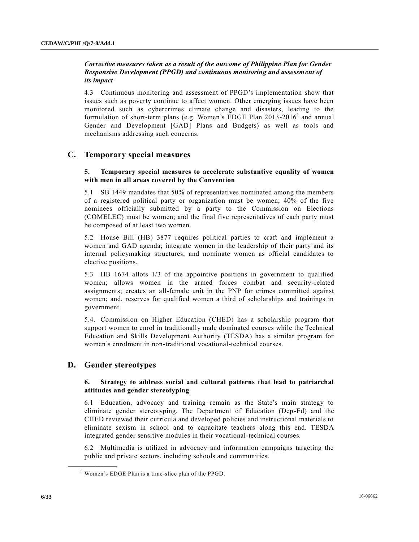# *Corrective measures taken as a result of the outcome of Philippine Plan for Gender Responsive Development (PPGD) and continuous monitoring and assessment of its impact*

4.3 Continuous monitoring and assessment of PPGD's implementation show that issues such as poverty continue to affect women. Other emerging issues have been monitored such as cybercrimes climate change and disasters, leading to the formulation of short-term plans (e.g. Women's EDGE Plan  $2013-2016<sup>1</sup>$  and annual Gender and Development [GAD] Plans and Budgets) as well as tools and mechanisms addressing such concerns.

# **C. Temporary special measures**

# **5. Temporary special measures to accelerate substantive equality of women with men in all areas covered by the Convention**

5.1 SB 1449 mandates that 50% of representatives nominated among the members of a registered political party or organization must be women; 40% of the five nominees officially submitted by a party to the Commission on Elections (COMELEC) must be women; and the final five representatives of each party must be composed of at least two women.

5.2 House Bill (HB) 3877 requires political parties to craft and implement a women and GAD agenda; integrate women in the leadership of their party and its internal policymaking structures; and nominate women as official candidates to elective positions.

5.3 HB 1674 allots 1/3 of the appointive positions in government to qualified women; allows women in the armed forces combat and security-related assignments; creates an all-female unit in the PNP for crimes committed against women; and, reserves for qualified women a third of scholarships and trainings in government.

5.4. Commission on Higher Education (CHED) has a scholarship program that support women to enrol in traditionally male dominated courses while the Technical Education and Skills Development Authority (TESDA) has a similar program for women's enrolment in non-traditional vocational-technical courses.

# **D. Gender stereotypes**

**\_\_\_\_\_\_\_\_\_\_\_\_\_\_\_\_\_\_**

# **6. Strategy to address social and cultural patterns that lead to patriarchal attitudes and gender stereotyping**

6.1 Education, advocacy and training remain as the State's main strategy to eliminate gender stereotyping. The Department of Education (Dep-Ed) and the CHED reviewed their curricula and developed policies and instructional materials to eliminate sexism in school and to capacitate teachers along this end. TESDA integrated gender sensitive modules in their vocational-technical courses.

6.2 Multimedia is utilized in advocacy and information campaigns targeting the public and private sectors, including schools and communities.

 $<sup>1</sup>$  Women's EDGE Plan is a time-slice plan of the PPGD.</sup>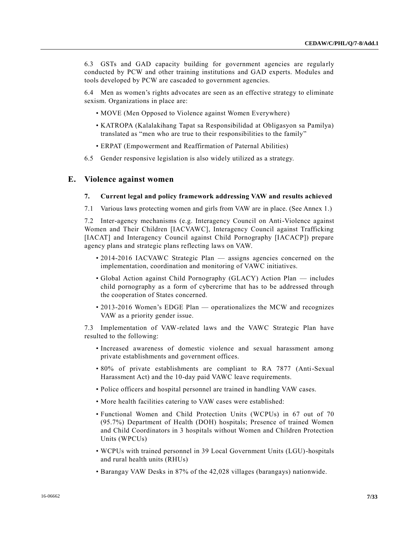6.3 GSTs and GAD capacity building for government agencies are regularly conducted by PCW and other training institutions and GAD experts. Modules and tools developed by PCW are cascaded to government agencies.

6.4 Men as women's rights advocates are seen as an effective strategy to eliminate sexism. Organizations in place are:

- MOVE (Men Opposed to Violence against Women Everywhere)
- KATROPA (Kalalakihang Tapat sa Responsibilidad at Obligasyon sa Pamilya) translated as "men who are true to their responsibilities to the family"
- ERPAT (Empowerment and Reaffirmation of Paternal Abilities)
- 6.5 Gender responsive legislation is also widely utilized as a strategy.

#### **E. Violence against women**

#### **7. Current legal and policy framework addressing VAW and results achieved**

7.1 Various laws protecting women and girls from VAW are in place. (See Annex 1.)

7.2 Inter-agency mechanisms (e.g. Interagency Council on Anti-Violence against Women and Their Children [IACVAWC], Interagency Council against Trafficking [IACAT] and Interagency Council against Child Pornography [IACACP]) prepare agency plans and strategic plans reflecting laws on VAW.

- 2014-2016 IACVAWC Strategic Plan assigns agencies concerned on the implementation, coordination and monitoring of VAWC initiatives.
- Global Action against Child Pornography (GLACY) Action Plan includes child pornography as a form of cybercrime that has to be addressed through the cooperation of States concerned.
- 2013-2016 Women's EDGE Plan operationalizes the MCW and recognizes VAW as a priority gender issue.

7.3 Implementation of VAW-related laws and the VAWC Strategic Plan have resulted to the following:

- Increased awareness of domestic violence and sexual harassment among private establishments and government offices.
- 80% of private establishments are compliant to RA 7877 (Anti-Sexual Harassment Act) and the 10-day paid VAWC leave requirements.
- Police officers and hospital personnel are trained in handling VAW cases.
- More health facilities catering to VAW cases were established:
- Functional Women and Child Protection Units (WCPUs) in 67 out of 70 (95.7%) Department of Health (DOH) hospitals; Presence of trained Women and Child Coordinators in 3 hospitals without Women and Children Protection Units (WPCUs)
- WCPUs with trained personnel in 39 Local Government Units (LGU)-hospitals and rural health units (RHUs)
- Barangay VAW Desks in 87% of the 42,028 villages (barangays) nationwide.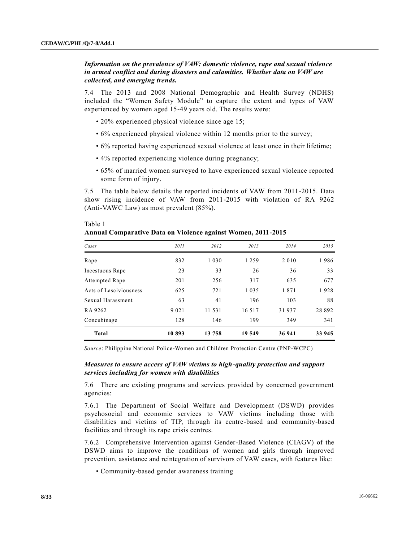Table 1

# *Information on the prevalence of VAW: domestic violence, rape and sexual violence in armed conflict and during disasters and calamities. Whether data on VAW are collected, and emerging trends.*

7.4 The 2013 and 2008 National Demographic and Health Survey (NDHS) included the "Women Safety Module" to capture the extent and types of VAW experienced by women aged 15-49 years old. The results were:

- 20% experienced physical violence since age 15;
- 6% experienced physical violence within 12 months prior to the survey;
- 6% reported having experienced sexual violence at least once in their lifetime;
- 4% reported experiencing violence during pregnancy;
- 65% of married women surveyed to have experienced sexual violence reported some form of injury.

7.5 The table below details the reported incidents of VAW from 2011-2015. Data show rising incidence of VAW from 2011-2015 with violation of RA 9262 (Anti-VAWC Law) as most prevalent (85%).

| <b>Total</b>           | 10893   | 13 758  | 19 549  | 36 941  | 33 945 |
|------------------------|---------|---------|---------|---------|--------|
| Concubinage            | 128     | 146     | 199     | 349     | 341    |
| RA 9262                | 9 0 2 1 | 11 531  | 16 5 17 | 31937   | 28 892 |
| Sexual Harassment      | 63      | 41      | 196     | 103     | 88     |
| Acts of Lasciviousness | 625     | 721     | 1 0 3 5 | 1871    | 1928   |
| <b>Attempted Rape</b>  | 201     | 256     | 317     | 635     | 677    |
| Incestuous Rape        | 23      | 33      | 26      | 36      | 33     |
| Rape                   | 832     | 1 0 3 0 | 1 2 5 9 | 2 0 1 0 | 1986   |
| Cases                  | 2011    | 2012    | 2013    | 2014    | 2015   |
|                        |         |         |         |         |        |

**Annual Comparative Data on Violence against Women, 2011-2015**

*Source*: Philippine National Police-Women and Children Protection Centre (PNP-WCPC)

#### *Measures to ensure access of VAW victims to high-quality protection and support services including for women with disabilities*

7.6 There are existing programs and services provided by concerned government agencies:

7.6.1 The Department of Social Welfare and Development (DSWD) provides psychosocial and economic services to VAW victims including those with disabilities and victims of TIP, through its centre-based and community-based facilities and through its rape crisis centres.

7.6.2 Comprehensive Intervention against Gender-Based Violence (CIAGV) of the DSWD aims to improve the conditions of women and girls through improved prevention, assistance and reintegration of survivors of VAW cases, with features like:

• Community-based gender awareness training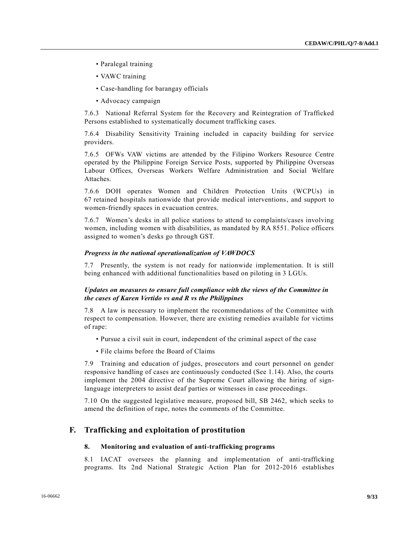- Paralegal training
- VAWC training
- Case-handling for barangay officials
- Advocacy campaign

7.6.3 National Referral System for the Recovery and Reintegration of Trafficked Persons established to systematically document trafficking cases.

7.6.4 Disability Sensitivity Training included in capacity building for service providers.

7.6.5 OFWs VAW victims are attended by the Filipino Workers Resource Centre operated by the Philippine Foreign Service Posts, supported by Philippine Overseas Labour Offices, Overseas Workers Welfare Administration and Social Welfare Attaches.

7.6.6 DOH operates Women and Children Protection Units (WCPUs) in 67 retained hospitals nationwide that provide medical interventions, and support to women-friendly spaces in evacuation centres.

7.6.7 Women's desks in all police stations to attend to complaints/cases involving women, including women with disabilities, as mandated by RA 8551. Police officers assigned to women's desks go through GST.

#### *Progress in the national operationalization of VAWDOCS*

7.7 Presently, the system is not ready for nationwide implementation. It is still being enhanced with additional functionalities based on piloting in 3 LGUs.

#### *Updates on measures to ensure full compliance with the views of the Committee in the cases of Karen Vertido vs and R vs the Philippines*

7.8 A law is necessary to implement the recommendations of the Committee with respect to compensation. However, there are existing remedies available for victims of rape:

- Pursue a civil suit in court, independent of the criminal aspect of the case
- File claims before the Board of Claims

7.9 Training and education of judges, prosecutors and court personnel on gender responsive handling of cases are continuously conducted (See 1.14). Also, the courts implement the 2004 directive of the Supreme Court allowing the hiring of signlanguage interpreters to assist deaf parties or witnesses in case proceedings.

7.10 On the suggested legislative measure, proposed bill, SB 2462, which seeks to amend the definition of rape, notes the comments of the Committee.

# **F. Trafficking and exploitation of prostitution**

#### **8. Monitoring and evaluation of anti-trafficking programs**

8.1 IACAT oversees the planning and implementation of anti-trafficking programs. Its 2nd National Strategic Action Plan for 2012-2016 establishes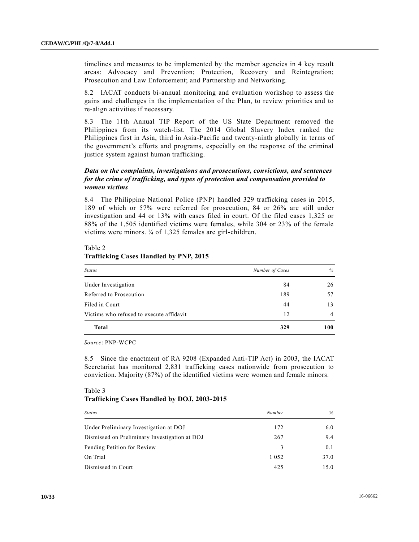timelines and measures to be implemented by the member agencies in 4 key result areas: Advocacy and Prevention; Protection, Recovery and Reintegration; Prosecution and Law Enforcement; and Partnership and Networking.

8.2 IACAT conducts bi-annual monitoring and evaluation workshop to assess the gains and challenges in the implementation of the Plan, to review priorities and to re-align activities if necessary.

8.3 The 11th Annual TIP Report of the US State Department removed the Philippines from its watch-list. The 2014 Global Slavery Index ranked the Philippines first in Asia, third in Asia-Pacific and twenty-ninth globally in terms of the government's efforts and programs, especially on the response of the criminal justice system against human trafficking.

# *Data on the complaints, investigations and prosecutions, convictions, and sentences for the crime of trafficking, and types of protection and compensation provided to women victims*

8.4 The Philippine National Police (PNP) handled 329 trafficking cases in 2015, 189 of which or 57% were referred for prosecution, 84 or 26% are still under investigation and 44 or 13% with cases filed in court. Of the filed cases 1,325 or 88% of the 1,505 identified victims were females, while 304 or 23% of the female victims were minors. ¼ of 1,325 females are girl-children.

| <b>Status</b>                            | Number of Cases | %   |
|------------------------------------------|-----------------|-----|
| Under Investigation                      | 84              | 26  |
| Referred to Prosecution                  | 189             | 57  |
| Filed in Court                           | 44              | 13  |
| Victims who refused to execute affidavit | 12              | 4   |
| <b>Total</b>                             | 329             | 100 |

# Table 2 **Trafficking Cases Handled by PNP, 2015**

*Source*: PNP-WCPC

 $T_0 h l_0$   $2$ 

8.5 Since the enactment of RA 9208 (Expanded Anti-TIP Act) in 2003, the IACAT Secretariat has monitored 2,831 trafficking cases nationwide from prosecution to conviction. Majority (87%) of the identified victims were women and female minors.

| $1$ ave $\sigma$                            |  |  |
|---------------------------------------------|--|--|
| Trafficking Cases Handled by DOJ, 2003-2015 |  |  |

| <b>Status</b>                                 | Number  | $\%$ |
|-----------------------------------------------|---------|------|
| Under Preliminary Investigation at DOJ        | 172     | 6.0  |
| Dismissed on Preliminary Investigation at DOJ | 267     | 9.4  |
| Pending Petition for Review                   | 3       | 0.1  |
| On Trial                                      | 1 0 5 2 | 37.0 |
| Dismissed in Court                            | 425     | 15.0 |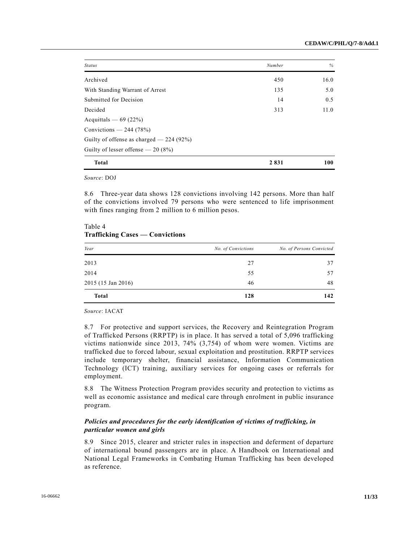| <b>Status</b>                            | Number  | %    |
|------------------------------------------|---------|------|
| Archived                                 | 450     | 16.0 |
| With Standing Warrant of Arrest          | 135     | 5.0  |
| Submitted for Decision                   | 14      | 0.5  |
| Decided                                  | 313     | 11.0 |
| Acquittals $-69(22%)$                    |         |      |
| Convictions $-244(78%)$                  |         |      |
| Guilty of offense as charged $-224(92%)$ |         |      |
| Guilty of lesser offense $-20(8%)$       |         |      |
| <b>Total</b>                             | 2 8 3 1 | 100  |

*Source*: DOJ

8.6 Three-year data shows 128 convictions involving 142 persons. More than half of the convictions involved 79 persons who were sentenced to life imprisonment with fines ranging from 2 million to 6 million pesos.

# Table 4 **Trafficking Cases — Convictions**

| Year               | No. of Convictions | No. of Persons Convicted |
|--------------------|--------------------|--------------------------|
| 2013               | 27                 | 37                       |
| 2014               | 55                 | 57                       |
| 2015 (15 Jan 2016) | 46                 | 48                       |
| <b>Total</b>       | 128                | 142                      |

*Source*: IACAT

8.7 For protective and support services, the Recovery and Reintegration Program of Trafficked Persons (RRPTP) is in place. It has served a total of 5,096 trafficking victims nationwide since 2013, 74% (3,754) of whom were women. Victims are trafficked due to forced labour, sexual exploitation and prostitution. RRPTP services include temporary shelter, financial assistance, Information Communication Technology (ICT) training, auxiliary services for ongoing cases or referrals for employment.

8.8 The Witness Protection Program provides security and protection to victims as well as economic assistance and medical care through enrolment in public insurance program.

## *Policies and procedures for the early identification of victims of trafficking, in particular women and girls*

8.9 Since 2015, clearer and stricter rules in inspection and deferment of departure of international bound passengers are in place. A Handbook on International and National Legal Frameworks in Combating Human Trafficking has been developed as reference.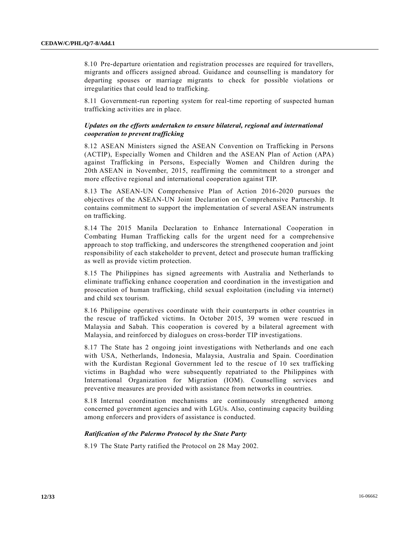8.10 Pre-departure orientation and registration processes are required for travellers, migrants and officers assigned abroad. Guidance and counselling is mandatory for departing spouses or marriage migrants to check for possible violations or irregularities that could lead to trafficking.

8.11 Government-run reporting system for real-time reporting of suspected human trafficking activities are in place.

#### *Updates on the efforts undertaken to ensure bilateral, regional and international cooperation to prevent trafficking*

8.12 ASEAN Ministers signed the ASEAN Convention on Trafficking in Persons (ACTIP), Especially Women and Children and the ASEAN Plan of Action (APA) against Trafficking in Persons, Especially Women and Children during the 20th ASEAN in November, 2015, reaffirming the commitment to a stronger and more effective regional and international cooperation against TIP.

8.13 The ASEAN-UN Comprehensive Plan of Action 2016-2020 pursues the objectives of the ASEAN-UN Joint Declaration on Comprehensive Partnership. It contains commitment to support the implementation of several ASEAN instruments on trafficking.

8.14 The 2015 Manila Declaration to Enhance International Cooperation in Combating Human Trafficking calls for the urgent need for a comprehensive approach to stop trafficking, and underscores the strengthened cooperation and joint responsibility of each stakeholder to prevent, detect and prosecute human trafficking as well as provide victim protection.

8.15 The Philippines has signed agreements with Australia and Netherlands to eliminate trafficking enhance cooperation and coordination in the investigation and prosecution of human trafficking, child sexual exploitation (including via internet) and child sex tourism.

8.16 Philippine operatives coordinate with their counterparts in other countries in the rescue of trafficked victims. In October 2015, 39 women were rescued in Malaysia and Sabah. This cooperation is covered by a bilateral agreement with Malaysia, and reinforced by dialogues on cross-border TIP investigations.

8.17 The State has 2 ongoing joint investigations with Netherlands and one each with USA, Netherlands, Indonesia, Malaysia, Australia and Spain. Coordination with the Kurdistan Regional Government led to the rescue of 10 sex trafficking victims in Baghdad who were subsequently repatriated to the Philippines with International Organization for Migration (IOM). Counselling services and preventive measures are provided with assistance from networks in countries.

8.18 Internal coordination mechanisms are continuously strengthened among concerned government agencies and with LGUs. Also, continuing capacity building among enforcers and providers of assistance is conducted.

#### *Ratification of the Palermo Protocol by the State Party*

8.19 The State Party ratified the Protocol on 28 May 2002.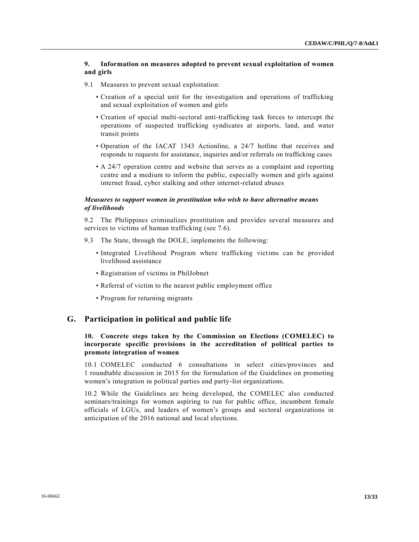# **9. Information on measures adopted to prevent sexual exploitation of women and girls**

- 9.1 Measures to prevent sexual exploitation:
	- Creation of a special unit for the investigation and operations of trafficking and sexual exploitation of women and girls
	- Creation of special multi-sectoral anti-trafficking task forces to intercept the operations of suspected trafficking syndicates at airports, land, and water transit points
	- Operation of the IACAT 1343 Actionline, a 24/7 hotline that receives and responds to requests for assistance, inquiries and/or referrals on trafficking cases
	- A 24/7 operation centre and website that serves as a complaint and reporting centre and a medium to inform the public, especially women and girls against internet fraud, cyber stalking and other internet-related abuses

# *Measures to support women in prostitution who wish to have alternative means of livelihoods*

9.2 The Philippines criminalizes prostitution and provides several measures and services to victims of human trafficking (see 7.6).

- 9.3 The State, through the DOLE, implements the following:
	- Integrated Livelihood Program where trafficking victims can be provided livelihood assistance
	- Registration of victims in PhilJobnet
	- Referral of victim to the nearest public employment office
	- Program for returning migrants

# **G. Participation in political and public life**

# **10. Concrete steps taken by the Commission on Elections (COMELEC) to incorporate specific provisions in the accreditation of political parties to promote integration of women**

10.1 COMELEC conducted 6 consultations in select cities/provinces and 1 roundtable discussion in 2015 for the formulation of the Guidelines on promoting women's integration in political parties and party-list organizations.

10.2 While the Guidelines are being developed, the COMELEC also conducted seminars/trainings for women aspiring to run for public office, incumbent female officials of LGUs, and leaders of women's groups and sectoral organizations in anticipation of the 2016 national and local elections.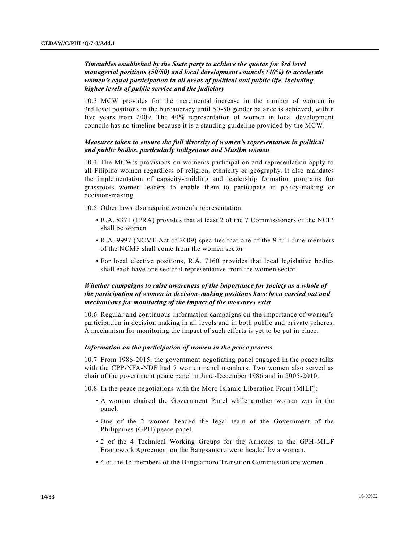# *Timetables established by the State party to achieve the quotas for 3rd level managerial positions (50/50) and local development councils (40%) to accelerate women's equal participation in all areas of political and public life, including higher levels of public service and the judiciary*

10.3 MCW provides for the incremental increase in the number of women in 3rd level positions in the bureaucracy until 50-50 gender balance is achieved, within five years from 2009. The 40% representation of women in local development councils has no timeline because it is a standing guideline provided by the MCW.

# *Measures taken to ensure the full diversity of women's representation in political and public bodies, particularly indigenous and Muslim women*

10.4 The MCW's provisions on women's participation and representation apply to all Filipino women regardless of religion, ethnicity or geography. It also mandates the implementation of capacity-building and leadership formation programs for grassroots women leaders to enable them to participate in policy-making or decision-making.

10.5 Other laws also require women's representation.

- R.A. 8371 (IPRA) provides that at least 2 of the 7 Commissioners of the NCIP shall be women
- R.A. 9997 (NCMF Act of 2009) specifies that one of the 9 full-time members of the NCMF shall come from the women sector
- For local elective positions, R.A. 7160 provides that local legislative bodies shall each have one sectoral representative from the women sector.

# *Whether campaigns to raise awareness of the importance for society as a whole of the participation of women in decision-making positions have been carried out and mechanisms for monitoring of the impact of the measures exist*

10.6 Regular and continuous information campaigns on the importance of women's participation in decision making in all levels and in both public and private spheres. A mechanism for monitoring the impact of such efforts is yet to be put in place.

#### *Information on the participation of women in the peace process*

10.7 From 1986-2015, the government negotiating panel engaged in the peace talks with the CPP-NPA-NDF had 7 women panel members. Two women also served as chair of the government peace panel in June-December 1986 and in 2005-2010.

10.8 In the peace negotiations with the Moro Islamic Liberation Front (MILF):

- A woman chaired the Government Panel while another woman was in the panel.
- One of the 2 women headed the legal team of the Government of the Philippines (GPH) peace panel.
- 2 of the 4 Technical Working Groups for the Annexes to the GPH-MILF Framework Agreement on the Bangsamoro were headed by a woman.
- 4 of the 15 members of the Bangsamoro Transition Commission are women.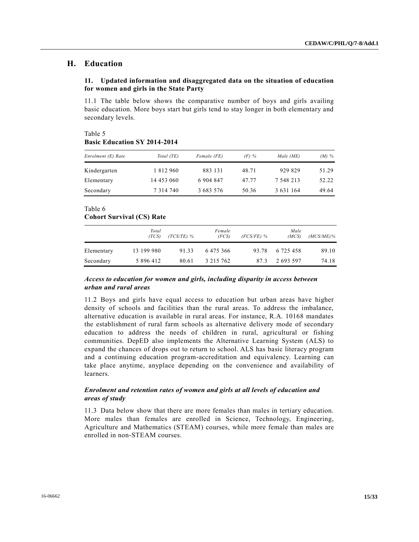# **H. Education**

# **11. Updated information and disaggregated data on the situation of education for women and girls in the State Party**

11.1 The table below shows the comparative number of boys and girls availing basic education. More boys start but girls tend to stay longer in both elementary and secondary levels.

Table 5 **Basic Education SY 2014-2014**

| Enrolment (E) Rate | Total (TE)    | Female (FE) | $(F)$ % | Male (ME) | $(M)$ % |
|--------------------|---------------|-------------|---------|-----------|---------|
| Kindergarten       | 1 812 960     | 883 131     | 48.71   | 929 829   | 51.29   |
| Elementary         | 14 453 060    | 6 904 847   | 47 77   | 7 548 213 | 52.22   |
| Secondary          | 7 3 1 4 7 4 0 | 3 683 576   | 50.36   | 3 631 164 | 49.64   |

# Table 6

# **Cohort Survival (CS) Rate**

|            | Total<br>(TCS) | $(TCS/TE)$ % | Female<br>(FCS) | $(FCS/FE)$ % | Male<br>(MCS) | $(MCS/ME)\%$ |
|------------|----------------|--------------|-----------------|--------------|---------------|--------------|
| Elementary | 13 199 980     | 91.33        | 6475366         | 93.78        | 6 725 458     | 89.10        |
| Secondary  | 5 896 412      | 80.61        | 3 215 762       | 87.3         | 2 693 597     | 74.18        |

# *Access to education for women and girls, including disparity in access between urban and rural areas*

11.2 Boys and girls have equal access to education but urban areas have higher density of schools and facilities than the rural areas. To address the imbalance, alternative education is available in rural areas. For instance, R.A. 10168 mandates the establishment of rural farm schools as alternative delivery mode of secondary education to address the needs of children in rural, agricultural or fishing communities. DepED also implements the Alternative Learning System (ALS) to expand the chances of drops out to return to school. ALS has basic literacy program and a continuing education program-accreditation and equivalency. Learning can take place anytime, anyplace depending on the convenience and availability of learners.

# *Enrolment and retention rates of women and girls at all levels of education and areas of study*

11.3 Data below show that there are more females than males in tertiary education. More males than females are enrolled in Science, Technology, Engineering, Agriculture and Mathematics (STEAM) courses, while more female than males are enrolled in non-STEAM courses.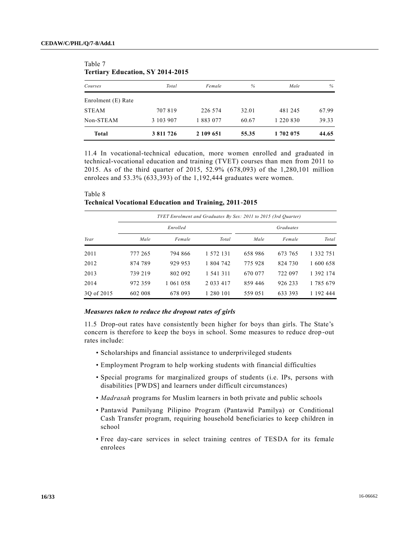| Courses            | Total     | Female    | %     | Male          | %     |
|--------------------|-----------|-----------|-------|---------------|-------|
| Enrolment (E) Rate |           |           |       |               |       |
| <b>STEAM</b>       | 707819    | 226 574   | 32.01 | 481 245       | 67.99 |
| Non-STEAM          | 3 103 907 | 1 883 077 | 60.67 | 1 2 2 0 8 3 0 | 39.33 |
| <b>Total</b>       | 3 811 726 | 2 109 651 | 55.35 | 1 702 075     | 44.65 |

# Table 7 **Tertiary Education, SY 2014-2015**

11.4 In vocational-technical education, more women enrolled and graduated in technical-vocational education and training (TVET) courses than men from 2011 to 2015. As of the third quarter of 2015, 52.9% (678,093) of the 1,280,101 million enrolees and 53.3% (633,393) of the 1,192,444 graduates were women.

| Table 8 |                                                               |  |  |
|---------|---------------------------------------------------------------|--|--|
|         | <b>Technical Vocational Education and Training, 2011-2015</b> |  |  |

|            |         | TVET Enrolment and Graduates By Sex: 2011 to 2015 (3rd Ouarter) |               |         |                  |               |
|------------|---------|-----------------------------------------------------------------|---------------|---------|------------------|---------------|
|            |         | Enrolled                                                        |               |         | <b>Graduates</b> |               |
| Year       | Male    | Female                                                          | Total         | Male    | Female           | Total         |
| 2011       | 777 265 | 794 866                                                         | 1 572 131     | 658 986 | 673 765          | 1 3 3 2 7 5 1 |
| 2012       | 874 789 | 929 953                                                         | 1 804 742     | 775928  | 824 730          | 1 600 658     |
| 2013       | 739 219 | 802 092                                                         | 1 541 311     | 670 077 | 722 097          | 1 392 174     |
| 2014       | 972 359 | 1 061 058                                                       | 2 0 3 3 4 1 7 | 859 446 | 926 233          | 1 785 679     |
| 30 of 2015 | 602 008 | 678 093                                                         | 1 280 101     | 559 051 | 633 393          | 1 192 444     |

#### *Measures taken to reduce the dropout rates of girls*

11.5 Drop-out rates have consistently been higher for boys than girls. The State's concern is therefore to keep the boys in school. Some measures to reduce drop -out rates include:

- Scholarships and financial assistance to underprivileged students
- Employment Program to help working students with financial difficulties
- Special programs for marginalized groups of students (i.e. IPs, persons with disabilities [PWDS] and learners under difficult circumstances)
- *Madrasah* programs for Muslim learners in both private and public schools
- Pantawid Pamilyang Pilipino Program (Pantawid Pamilya) or Conditional Cash Transfer program, requiring household beneficiaries to keep children in school
- Free day-care services in select training centres of TESDA for its female enrolees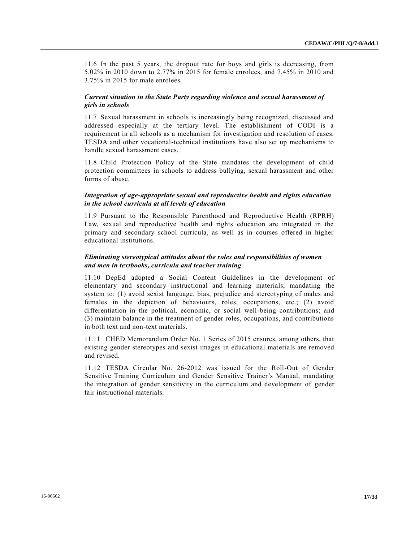11.6 In the past 5 years, the dropout rate for boys and girls is decreasing, from 5.02% in 2010 down to 2.77% in 2015 for female enrolees, and 7.45% in 2010 and 3.75% in 2015 for male enrolees.

# *Current situation in the State Party regarding violence and sexual harassment of girls in schools*

11.7 Sexual harassment in schools is increasingly being recognized, discussed and addressed especially at the tertiary level. The establishment of CODI is a requirement in all schools as a mechanism for investigation and resolution of cases. TESDA and other vocational-technical institutions have also set up mechanisms to handle sexual harassment cases.

11.8 Child Protection Policy of the State mandates the development of child protection committees in schools to address bullying, sexual harassment and other forms of abuse.

# *Integration of age-appropriate sexual and reproductive health and rights education in the school curricula at all levels of education*

11.9 Pursuant to the Responsible Parenthood and Reproductive Health (RPRH) Law, sexual and reproductive health and rights education are integrated in the primary and secondary school curricula, as well as in courses offered in higher educational institutions.

# *Eliminating stereotypical attitudes about the roles and responsibilities of women and men in textbooks, curricula and teacher training*

11.10 DepEd adopted a Social Content Guidelines in the development of elementary and secondary instructional and learning materials, mandating the system to: (1) avoid sexist language, bias, prejudice and stereotyping of males and females in the depiction of behaviours, roles, occupations, etc.; (2) avoid differentiation in the political, economic, or social well-being contributions; and (3) maintain balance in the treatment of gender roles, occupations, and contributions in both text and non-text materials.

11.11 CHED Memorandum Order No. 1 Series of 2015 ensures, among others, that existing gender stereotypes and sexist images in educational materials are removed and revised.

11.12 TESDA Circular No. 26-2012 was issued for the Roll-Out of Gender Sensitive Training Curriculum and Gender Sensitive Trainer's Manual, mandating the integration of gender sensitivity in the curriculum and development of gender fair instructional materials.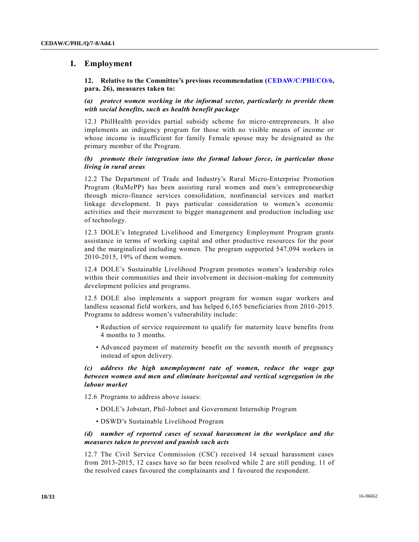# **I. Employment**

## **12. Relative to the Committee's previous recommendation [\(CEDAW/C/PHI/CO/6,](http://undocs.org/CEDAW/C/PHI/CO/6) para. 26), measures taken to:**

## *(a) protect women working in the informal sector, particularly to provide them with social benefits, such as health benefit package*

12.1 PhilHealth provides partial subsidy scheme for micro-entrepreneurs. It also implements an indigency program for those with no visible means of income or whose income is insufficient for family Female spouse may be designated as the primary member of the Program.

# *(b) promote their integration into the formal labour force, in particular those living in rural areas*

12.2 The Department of Trade and Industry's Rural Micro-Enterprise Promotion Program (RuMePP) has been assisting rural women and men's entrepreneurship through micro-finance services consolidation, nonfinancial services and market linkage development. It pays particular consideration to women's economic activities and their movement to bigger management and production including use of technology.

12.3 DOLE's Integrated Livelihood and Emergency Employment Program grants assistance in terms of working capital and other productive resources for the poor and the marginalized including women. The program supported 547,094 workers in 2010-2015, 19% of them women.

12.4 DOLE's Sustainable Livelihood Program promotes women's leadership roles within their communities and their involvement in decision-making for community development policies and programs.

12.5 DOLE also implements a support program for women sugar workers and landless seasonal field workers, and has helped 6,165 beneficiaries from 2010 -2015. Programs to address women's vulnerability include:

- Reduction of service requirement to qualify for maternity leave benefits from 4 months to 3 months.
- Advanced payment of maternity benefit on the seventh month of pregnancy instead of upon delivery.

# *(c) address the high unemployment rate of women, reduce the wage gap between women and men and eliminate horizontal and vertical segregation in the labour market*

12.6 Programs to address above issues:

- DOLE's Jobstart, Phil-Jobnet and Government Internship Program
- DSWD's Sustainable Livelihood Program

# *(d) number of reported cases of sexual harassment in the workplace and the measures taken to prevent and punish such acts*

12.7 The Civil Service Commission (CSC) received 14 sexual harassment cases from 2013-2015, 12 cases have so far been resolved while 2 are still pending. 11 of the resolved cases favoured the complainants and 1 favoured the respondent.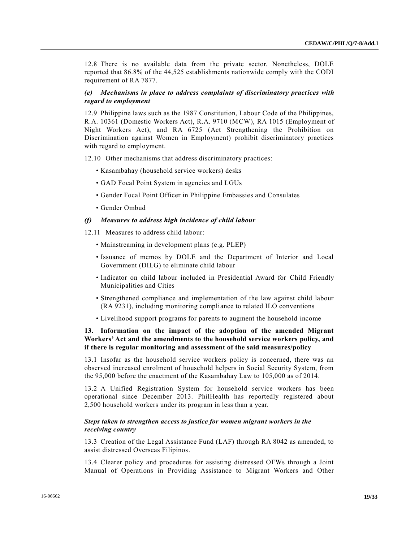12.8 There is no available data from the private sector. Nonetheless, DOLE reported that 86.8% of the 44,525 establishments nationwide comply with the CODI requirement of RA 7877.

# *(e) Mechanisms in place to address complaints of discriminatory practices with regard to employment*

12.9 Philippine laws such as the 1987 Constitution, Labour Code of the Philippines, R.A. 10361 (Domestic Workers Act), R.A. 9710 (MCW), RA 1015 (Employment of Night Workers Act), and RA 6725 (Act Strengthening the Prohibition on Discrimination against Women in Employment) prohibit discriminatory practices with regard to employment.

12.10 Other mechanisms that address discriminatory practices:

- Kasambahay (household service workers) desks
- GAD Focal Point System in agencies and LGUs
- Gender Focal Point Officer in Philippine Embassies and Consulates
- Gender Ombud

#### *(f) Measures to address high incidence of child labour*

- 12.11 Measures to address child labour:
	- Mainstreaming in development plans (e.g. PLEP)
	- Issuance of memos by DOLE and the Department of Interior and Local Government (DILG) to eliminate child labour
	- Indicator on child labour included in Presidential Award for Child Friendly Municipalities and Cities
	- Strengthened compliance and implementation of the law against child labour (RA 9231), including monitoring compliance to related ILO conventions
	- Livelihood support programs for parents to augment the household income

# **13. Information on the impact of the adoption of the amended Migrant Workers' Act and the amendments to the household service workers policy, and if there is regular monitoring and assessment of the said measures/policy**

13.1 Insofar as the household service workers policy is concerned, there was an observed increased enrolment of household helpers in Social Security System, from the 95,000 before the enactment of the Kasambahay Law to 105,000 as of 2014.

13.2 A Unified Registration System for household service workers has been operational since December 2013. PhilHealth has reportedly registered about 2,500 household workers under its program in less than a year.

# *Steps taken to strengthen access to justice for women migrant workers in the receiving country*

13.3 Creation of the Legal Assistance Fund (LAF) through RA 8042 as amended, to assist distressed Overseas Filipinos.

13.4 Clearer policy and procedures for assisting distressed OFWs through a Joint Manual of Operations in Providing Assistance to Migrant Workers and Other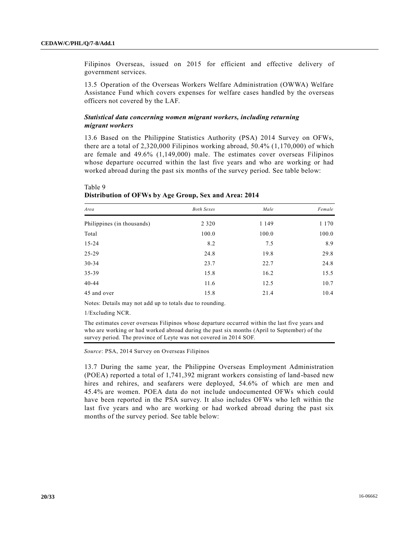Filipinos Overseas, issued on 2015 for efficient and effective delivery of government services.

13.5 Operation of the Overseas Workers Welfare Administration (OWWA) Welfare Assistance Fund which covers expenses for welfare cases handled by the overseas officers not covered by the LAF.

#### *Statistical data concerning women migrant workers, including returning migrant workers*

13.6 Based on the Philippine Statistics Authority (PSA) 2014 Survey on OFWs, there are a total of 2,320,000 Filipinos working abroad, 50.4% (1,170,000) of which are female and 49.6% (1,149,000) male. The estimates cover overseas Filipinos whose departure occurred within the last five years and who are working or had worked abroad during the past six months of the survey period. See table below:

| Area                       | <b>Both Sexes</b> | Male    | Female  |
|----------------------------|-------------------|---------|---------|
| Philippines (in thousands) | 2 3 2 0           | 1 1 4 9 | 1 1 7 0 |
| Total                      | 100.0             | 100.0   | 100.0   |
| $15 - 24$                  | 8.2               | 7.5     | 8.9     |
| 25-29                      | 24.8              | 19.8    | 29.8    |
| $30 - 34$                  | 23.7              | 22.7    | 24.8    |
| 35-39                      | 15.8              | 16.2    | 15.5    |
| $40 - 44$                  | 11.6              | 12.5    | 10.7    |
| 45 and over                | 15.8              | 21.4    | 10.4    |

| Table 9 |                                                       |  |
|---------|-------------------------------------------------------|--|
|         | Distribution of OFWs by Age Group, Sex and Area: 2014 |  |

Notes: Details may not add up to totals due to rounding.

1/Excluding NCR.

The estimates cover overseas Filipinos whose departure occurred within the last five years and who are working or had worked abroad during the past six months (April to September) of the survey period. The province of Leyte was not covered in 2014 SOF.

*Source*: PSA, 2014 Survey on Overseas Filipinos

13.7 During the same year, the Philippine Overseas Employment Administration (POEA) reported a total of 1,741,392 migrant workers consisting of land -based new hires and rehires, and seafarers were deployed, 54.6% of which are men and 45.4% are women. POEA data do not include undocumented OFWs which could have been reported in the PSA survey. It also includes OFWs who left within the last five years and who are working or had worked abroad during the past six months of the survey period. See table below: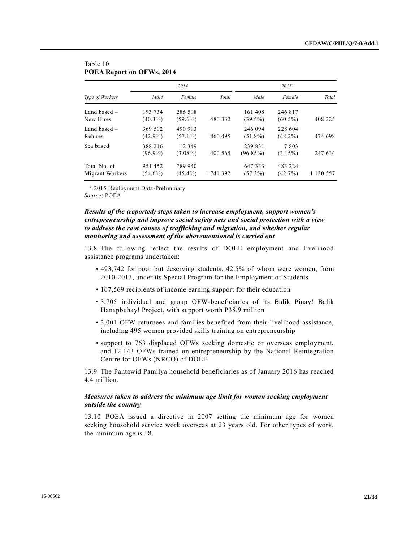|                                 |                       | 2014                  |           |                        | $2015^a$              |           |  |  |
|---------------------------------|-----------------------|-----------------------|-----------|------------------------|-----------------------|-----------|--|--|
| Type of Workers                 | Male                  | Female                | Total     | Male                   | Female                | Total     |  |  |
| Land based $-$<br>New Hires     | 193 734<br>$(40.3\%)$ | 286 598<br>$(59.6\%)$ | 480 332   | 161 408<br>$(39.5\%)$  | 246 817<br>$(60.5\%)$ | 408 225   |  |  |
| Land based $-$<br>Rehires       | 369 502<br>$(42.9\%)$ | 490 993<br>$(57.1\%)$ | 860 495   | 246 094<br>$(51.8\%)$  | 228 604<br>$(48.2\%)$ | 474 698   |  |  |
| Sea based                       | 388 216<br>$(96.9\%)$ | 12 349<br>$(3.08\%)$  | 400 565   | 239 831<br>$(96.85\%)$ | 7803<br>$(3.15\%)$    | 247 634   |  |  |
| Total No. of<br>Migrant Workers | 951 452<br>$(54.6\%)$ | 789 940<br>$(45.4\%)$ | 1 741 392 | 647 333<br>$(57.3\%)$  | 483 224<br>$(42.7\%)$ | 1 130 557 |  |  |

# Table 10 **POEA Report on OFWs, 2014**

*a* 2015 Deployment Data-Preliminary *Source*: POEA

# *Results of the (reported) steps taken to increase employment, support women's entrepreneurship and improve social safety nets and social protection with a view to address the root causes of trafficking and migration, and whether regular monitoring and assessment of the abovementioned is carried out*

13.8 The following reflect the results of DOLE employment and livelihood assistance programs undertaken:

- 493,742 for poor but deserving students, 42.5% of whom were women, from 2010-2013, under its Special Program for the Employment of Students
- 167,569 recipients of income earning support for their education
- 3,705 individual and group OFW-beneficiaries of its Balik Pinay! Balik Hanapbuhay! Project, with support worth P38.9 million
- 3,001 OFW returnees and families benefited from their livelihood assistance, including 495 women provided skills training on entrepreneurship
- support to 763 displaced OFWs seeking domestic or overseas employment, and 12,143 OFWs trained on entrepreneurship by the National Reintegration Centre for OFWs (NRCO) of DOLE

13.9 The Pantawid Pamilya household beneficiaries as of January 2016 has reached 4.4 million.

#### *Measures taken to address the minimum age limit for women seeking employment outside the country*

13.10 POEA issued a directive in 2007 setting the minimum age for women seeking household service work overseas at 23 years old. For other types of work, the minimum age is 18.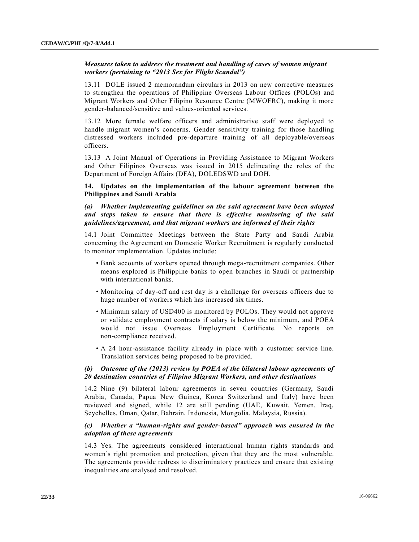# *Measures taken to address the treatment and handling of cases of women migrant workers (pertaining to "2013 Sex for Flight Scandal")*

13.11 DOLE issued 2 memorandum circulars in 2013 on new corrective measures to strengthen the operations of Philippine Overseas Labour Offices (POLOs) and Migrant Workers and Other Filipino Resource Centre (MWOFRC), making it more gender-balanced/sensitive and values-oriented services.

13.12 More female welfare officers and administrative staff were deployed to handle migrant women's concerns. Gender sensitivity training for those handling distressed workers included pre-departure training of all deployable/overseas officers.

13.13 A Joint Manual of Operations in Providing Assistance to Migrant Workers and Other Filipinos Overseas was issued in 2015 delineating the roles of the Department of Foreign Affairs (DFA), DOLEDSWD and DOH.

## **14. Updates on the implementation of the labour agreement between the Philippines and Saudi Arabia**

*(a) Whether implementing guidelines on the said agreement have been adopted and steps taken to ensure that there is effective monitoring of the said guidelines/agreement, and that migrant workers are informed of their rights*

14.1 Joint Committee Meetings between the State Party and Saudi Arabia concerning the Agreement on Domestic Worker Recruitment is regularly conducted to monitor implementation. Updates include:

- Bank accounts of workers opened through mega-recruitment companies. Other means explored is Philippine banks to open branches in Saudi or partnership with international banks.
- Monitoring of day-off and rest day is a challenge for overseas officers due to huge number of workers which has increased six times.
- Minimum salary of USD400 is monitored by POLOs. They would not approve or validate employment contracts if salary is below the minimum, and POEA would not issue Overseas Employment Certificate. No reports on non-compliance received.
- A 24 hour-assistance facility already in place with a customer service line. Translation services being proposed to be provided.

# *(b) Outcome of the (2013) review by POEA of the bilateral labour agreements of 20 destination countries of Filipino Migrant Workers, and other destinations*

14.2 Nine (9) bilateral labour agreements in seven countries (Germany, Saudi Arabia, Canada, Papua New Guinea, Korea Switzerland and Italy) have been reviewed and signed, while 12 are still pending (UAE, Kuwait, Yemen, Iraq, Seychelles, Oman, Qatar, Bahrain, Indonesia, Mongolia, Malaysia, Russia).

# *(c) Whether a "human-rights and gender-based" approach was ensured in the adoption of these agreements*

14.3 Yes. The agreements considered international human rights standards and women's right promotion and protection, given that they are the most vulnerable. The agreements provide redress to discriminatory practices and ensure that existing inequalities are analysed and resolved.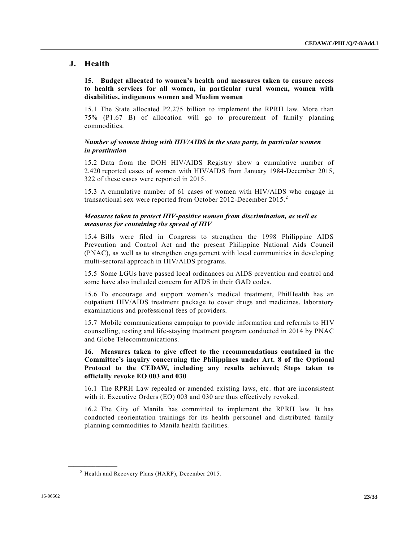# **J. Health**

**15. Budget allocated to women's health and measures taken to ensure access to health services for all women, in particular rural women, women with disabilities, indigenous women and Muslim women**

15.1 The State allocated P2.275 billion to implement the RPRH law. More than 75% (P1.67 B) of allocation will go to procurement of family planning commodities.

# *Number of women living with HIV/AIDS in the state party, in particular women in prostitution*

15.2 Data from the DOH HIV/AIDS Registry show a cumulative number of 2,420 reported cases of women with HIV/AIDS from January 1984-December 2015, 322 of these cases were reported in 2015.

15.3 A cumulative number of 61 cases of women with HIV/AIDS who engage in transactional sex were reported from October 2012-December 2015.<sup>2</sup>

#### *Measures taken to protect HIV-positive women from discrimination, as well as measures for containing the spread of HIV*

15.4 Bills were filed in Congress to strengthen the 1998 Philippine AIDS Prevention and Control Act and the present Philippine National Aids Council (PNAC), as well as to strengthen engagement with local communities in developing multi-sectoral approach in HIV/AIDS programs.

15.5 Some LGUs have passed local ordinances on AIDS prevention and control and some have also included concern for AIDS in their GAD codes.

15.6 To encourage and support women's medical treatment, PhilHealth has an outpatient HIV/AIDS treatment package to cover drugs and medicines, laboratory examinations and professional fees of providers.

15.7 Mobile communications campaign to provide information and referrals to HIV counselling, testing and life-staying treatment program conducted in 2014 by PNAC and Globe Telecommunications.

**16. Measures taken to give effect to the recommendations contained in the Committee's inquiry concerning the Philippines under Art. 8 of the Optional Protocol to the CEDAW, including any results achieved; Steps taken to officially revoke EO 003 and 030**

16.1 The RPRH Law repealed or amended existing laws, etc. that are inconsistent with it. Executive Orders (EO) 003 and 030 are thus effectively revoked.

16.2 The City of Manila has committed to implement the RPRH law. It has conducted reorientation trainings for its health personnel and distributed family planning commodities to Manila health facilities.

**\_\_\_\_\_\_\_\_\_\_\_\_\_\_\_\_\_\_**

 $<sup>2</sup>$  Health and Recovery Plans (HARP), December 2015.</sup>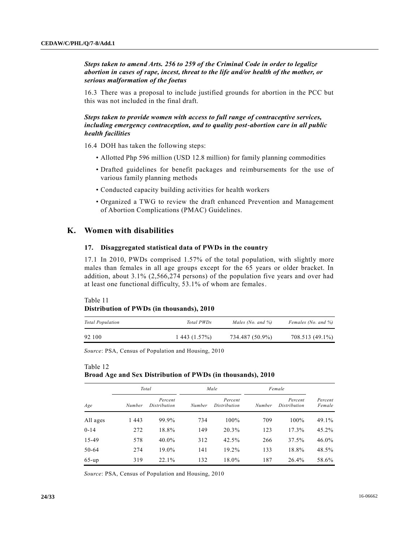*Steps taken to amend Arts. 256 to 259 of the Criminal Code in order to legalize abortion in cases of rape, incest, threat to the life and/or health of the mother, or serious malformation of the foetus*

16.3 There was a proposal to include justified grounds for abortion in the PCC but this was not included in the final draft.

*Steps taken to provide women with access to full range of contraceptive services, including emergency contraception, and to quality post-abortion care in all public health facilities*

16.4 DOH has taken the following steps:

- Allotted Php 596 million (USD 12.8 million) for family planning commodities
- Drafted guidelines for benefit packages and reimbursements for the use of various family planning methods
- Conducted capacity building activities for health workers
- Organized a TWG to review the draft enhanced Prevention and Management of Abortion Complications (PMAC) Guidelines.

# **K. Women with disabilities**

## **17. Disaggregated statistical data of PWDs in the country**

17.1 In 2010, PWDs comprised 1.57% of the total population, with slightly more males than females in all age groups except for the 65 years or older bracket. In addition, about 3.1% (2,566,274 persons) of the population five years and over had at least one functional difficulty, 53.1% of whom are females.

#### Table 11

#### **Distribution of PWDs (in thousands), 2010**

| <b>Total Population</b> | Total PWDs  | Males (No. and $\%$ ) | Females (No. and %) |
|-------------------------|-------------|-----------------------|---------------------|
| 92 100                  | 1443(1.57%) | 734.487 (50.9%)       | 708.513 (49.1%)     |

*Source*: PSA, Census of Population and Housing, 2010

# Table 12 **Broad Age and Sex Distribution of PWDs (in thousands), 2010**

|          |        | Total                   |        | Male                    | Female |                         |                   |
|----------|--------|-------------------------|--------|-------------------------|--------|-------------------------|-------------------|
| Age      | Number | Percent<br>Distribution | Number | Percent<br>Distribution | Number | Percent<br>Distribution | Percent<br>Female |
| All ages | 1443   | 99.9%                   | 734    | 100%                    | 709    | 100%                    | 49.1%             |
| $0 - 14$ | 272    | 18.8%                   | 149    | 20.3%                   | 123    | 17.3%                   | 45.2%             |
| 15-49    | 578    | 40.0%                   | 312    | 42.5%                   | 266    | 37.5%                   | 46.0%             |
| 50-64    | 274    | 19.0%                   | 141    | 19.2%                   | 133    | 18.8%                   | 48.5%             |
| $65$ -up | 319    | 22.1%                   | 132    | 18.0%                   | 187    | 26.4%                   | 58.6%             |

*Source*: PSA, Census of Population and Housing, 2010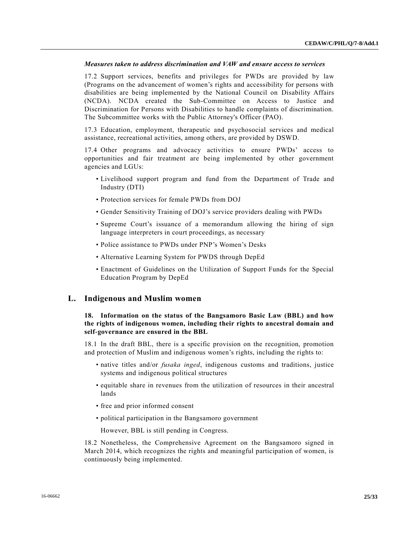# *Measures taken to address discrimination and VAW and ensure access to services*

17.2 Support services, benefits and privileges for PWDs are provided by law (Programs on the advancement of women's rights and accessibility for persons with disabilities are being implemented by the National Council on Disability Affairs (NCDA). NCDA created the Sub-Committee on Access to Justice and Discrimination for Persons with Disabilities to handle complaints of discrimination. The Subcommittee works with the Public Attorney's Officer (PAO).

17.3 Education, employment, therapeutic and psychosocial services and medical assistance, recreational activities, among others, are provided by DSWD.

17.4 Other programs and advocacy activities to ensure PWDs' access to opportunities and fair treatment are being implemented by other government agencies and LGUs:

- Livelihood support program and fund from the Department of Trade and Industry (DTI)
- Protection services for female PWDs from DOJ
- Gender Sensitivity Training of DOJ's service providers dealing with PWDs
- Supreme Court's issuance of a memorandum allowing the hiring of sign language interpreters in court proceedings, as necessary
- Police assistance to PWDs under PNP's Women's Desks
- Alternative Learning System for PWDS through DepEd
- Enactment of Guidelines on the Utilization of Support Funds for the Special Education Program by DepEd

# **L. Indigenous and Muslim women**

# **18. Information on the status of the Bangsamoro Basic Law (BBL) and how the rights of indigenous women, including their rights to ancestral domain and self-governance are ensured in the BBL**

18.1 In the draft BBL, there is a specific provision on the recognition, promotion and protection of Muslim and indigenous women's rights, including the rights to:

- native titles and/or *fusaka inged*, indigenous customs and traditions, justice systems and indigenous political structures
- equitable share in revenues from the utilization of resources in their ancestral lands
- free and prior informed consent
- political participation in the Bangsamoro government

However, BBL is still pending in Congress.

18.2 Nonetheless, the Comprehensive Agreement on the Bangsamoro signed in March 2014, which recognizes the rights and meaningful participation of women, is continuously being implemented.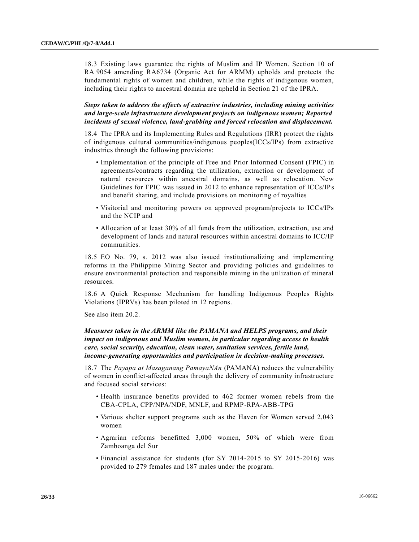18.3 Existing laws guarantee the rights of Muslim and IP Women. Section 10 of RA 9054 amending RA6734 (Organic Act for ARMM) upholds and protects the fundamental rights of women and children, while the rights of indigenous women, including their rights to ancestral domain are upheld in Section 21 of the IPRA.

*Steps taken to address the effects of extractive industries, including mining activities and large-scale infrastructure development projects on indigenous women; Reported incidents of sexual violence, land-grabbing and forced relocation and displacement.* 

18.4 The IPRA and its Implementing Rules and Regulations (IRR) protect the rights of indigenous cultural communities/indigenous peoples(ICCs/IPs) from extractive industries through the following provisions:

- Implementation of the principle of Free and Prior Informed Consent (FPIC) in agreements/contracts regarding the utilization, extraction or development of natural resources within ancestral domains, as well as relocation. New Guidelines for FPIC was issued in 2012 to enhance representation of ICCs/IPs and benefit sharing, and include provisions on monitoring of royalties
- Visitorial and monitoring powers on approved program/projects to ICCs/IPs and the NCIP and
- Allocation of at least 30% of all funds from the utilization, extraction, use and development of lands and natural resources within ancestral domains to ICC/IP communities.

18.5 EO No. 79, s. 2012 was also issued institutionalizing and implementing reforms in the Philippine Mining Sector and providing policies and guidelines to ensure environmental protection and responsible mining in the utilization of mineral resources.

18.6 A Quick Response Mechanism for handling Indigenous Peoples Rights Violations (IPRVs) has been piloted in 12 regions.

See also item 20.2.

# *Measures taken in the ARMM like the PAMANA and HELPS programs, and their impact on indigenous and Muslim women, in particular regarding access to health care, social security, education, clean water, sanitation services, fertile land, income-generating opportunities and participation in decision-making processes.*

18.7 The *Payapa at Masaganang PamayaNAn* (PAMANA) reduces the vulnerability of women in conflict-affected areas through the delivery of community infrastructure and focused social services:

- Health insurance benefits provided to 462 former women rebels from the CBA-CPLA, CPP/NPA/NDF, MNLF, and RPMP-RPA-ABB-TPG
- Various shelter support programs such as the Haven for Women served 2,043 women
- Agrarian reforms benefitted 3,000 women, 50% of which were from Zamboanga del Sur
- Financial assistance for students (for SY 2014-2015 to SY 2015-2016) was provided to 279 females and 187 males under the program.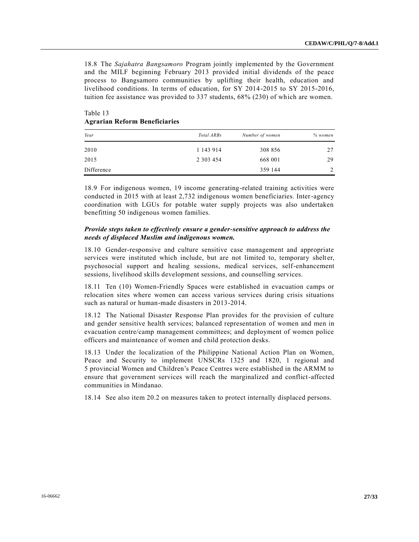18.8 The *Sajahatra Bangsamoro* Program jointly implemented by the Government and the MILF beginning February 2013 provided initial dividends of the peace process to Bangsamoro communities by uplifting their health, education and livelihood conditions. In terms of education, for SY 2014-2015 to SY 2015-2016, tuition fee assistance was provided to 337 students, 68% (230) of which are women.

| Year       | Total ARBs    | Number of women | % women       |
|------------|---------------|-----------------|---------------|
| 2010       | 1 143 914     | 308 856         | 27            |
| 2015       | 2 3 0 3 4 5 4 | 668 001         | 29            |
| Difference |               | 359 144         | $\gamma$<br>∸ |

# Table 13 **Agrarian Reform Beneficiaries**

18.9 For indigenous women, 19 income generating-related training activities were conducted in 2015 with at least 2,732 indigenous women beneficiaries. Inter-agency coordination with LGUs for potable water supply projects was also undertaken benefitting 50 indigenous women families.

# *Provide steps taken to effectively ensure a gender-sensitive approach to address the needs of displaced Muslim and indigenous women.*

18.10 Gender-responsive and culture sensitive case management and appropriate services were instituted which include, but are not limited to, temporary shelter, psychosocial support and healing sessions, medical services, self-enhancement sessions, livelihood skills development sessions, and counselling services.

18.11 Ten (10) Women-Friendly Spaces were established in evacuation camps or relocation sites where women can access various services during crisis situations such as natural or human-made disasters in 2013-2014.

18.12 The National Disaster Response Plan provides for the provision of culture and gender sensitive health services; balanced representation of women and men in evacuation centre/camp management committees; and deployment of women police officers and maintenance of women and child protection desks.

18.13 Under the localization of the Philippine National Action Plan on Women, Peace and Security to implement UNSCRs 1325 and 1820, 1 regional and 5 provincial Women and Children's Peace Centres were established in the ARMM to ensure that government services will reach the marginalized and conflict-affected communities in Mindanao.

18.14 See also item 20.2 on measures taken to protect internally displaced persons.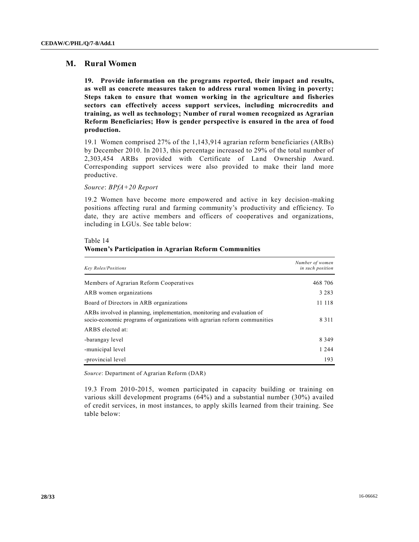# **M. Rural Women**

**19. Provide information on the programs reported, their impact and results, as well as concrete measures taken to address rural women living in poverty; Steps taken to ensure that women working in the agriculture and fisheries sectors can effectively access support services, including microcredits and training, as well as technology; Number of rural women recognized as Agrarian Reform Beneficiaries; How is gender perspective is ensured in the area of food production.**

19.1 Women comprised 27% of the 1,143,914 agrarian reform beneficiaries (ARBs) by December 2010. In 2013, this percentage increased to 29% of the total number of 2,303,454 ARBs provided with Certificate of Land Ownership Award. Corresponding support services were also provided to make their land more productive.

*Source*: *BPfA+20 Report*

19.2 Women have become more empowered and active in key decision-making positions affecting rural and farming community's productivity and efficiency. To date, they are active members and officers of cooperatives and organizations, including in LGUs. See table below:

#### Table 14

#### **Women's Participation in Agrarian Reform Communities**

| <b>Key Roles/Positions</b>                                                                                                                           | Number of women<br>in such position |
|------------------------------------------------------------------------------------------------------------------------------------------------------|-------------------------------------|
| Members of Agrarian Reform Cooperatives                                                                                                              | 468 706                             |
| ARB women organizations                                                                                                                              | 3 2 8 3                             |
| Board of Directors in ARB organizations                                                                                                              | 11 118                              |
| ARBs involved in planning, implementation, monitoring and evaluation of<br>socio-economic programs of organizations with agrarian reform communities | 8 3 1 1                             |
| ARBS elected at:                                                                                                                                     |                                     |
| -barangay level                                                                                                                                      | 8 3 4 9                             |
| -municipal level                                                                                                                                     | 1 2 4 4                             |
| -provincial level                                                                                                                                    | 193                                 |

*Source*: Department of Agrarian Reform (DAR)

19.3 From 2010-2015, women participated in capacity building or training on various skill development programs (64%) and a substantial number (30%) availed of credit services, in most instances, to apply skills learned from their training. See table below: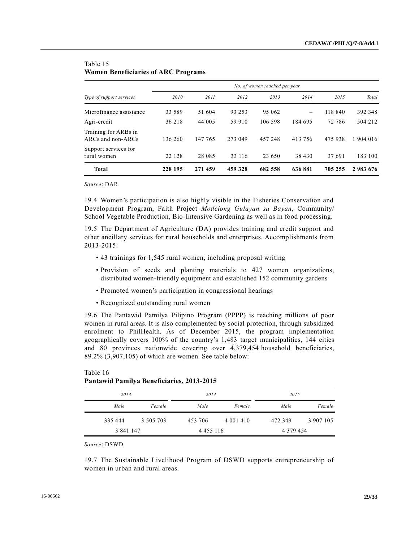| Type of support services                       | No. of women reached per year |         |         |         |         |         |           |  |
|------------------------------------------------|-------------------------------|---------|---------|---------|---------|---------|-----------|--|
|                                                | 2010                          | 2011    | 2012    | 2013    | 2014    | 2015    | Total     |  |
| Microfinance assistance                        | 33 589                        | 51 604  | 93 253  | 95 062  | -       | 118 840 | 392 348   |  |
| Agri-credit                                    | 36 218                        | 44 005  | 59 910  | 106 598 | 184 695 | 72 786  | 504 212   |  |
| Training for ARBs in<br>$ARCs$ and non- $ARCs$ | 136 260                       | 147 765 | 273 049 | 457 248 | 413 756 | 475 938 | 1 904 016 |  |
| Support services for<br>rural women            | 22 128                        | 28 08 5 | 33 116  | 23 650  | 38 430  | 37 691  | 183 100   |  |
| <b>Total</b>                                   | 228 195                       | 271 459 | 459 328 | 682 558 | 636881  | 705 255 | 2983676   |  |

# Table 15 **Women Beneficiaries of ARC Programs**

*Source*: DAR

19.4 Women's participation is also highly visible in the Fisheries Conservation and Development Program, Faith Project *Modelong Gulayan sa Bayan*, Community/ School Vegetable Production, Bio-Intensive Gardening as well as in food processing.

19.5 The Department of Agriculture (DA) provides training and credit support and other ancillary services for rural households and enterprises. Accomplishments from 2013-2015:

- 43 trainings for 1,545 rural women, including proposal writing
- Provision of seeds and planting materials to 427 women organizations, distributed women-friendly equipment and established 152 community gardens
- Promoted women's participation in congressional hearings
- Recognized outstanding rural women

19.6 The Pantawid Pamilya Pilipino Program (PPPP) is reaching millions of poor women in rural areas. It is also complemented by social protection, through subsidized enrolment to PhilHealth. As of December 2015, the program implementation geographically covers 100% of the country's 1,483 target municipalities, 144 cities and 80 provinces nationwide covering over 4,379,454 household beneficiaries, 89.2% (3,907,105) of which are women. See table below:

|           | $1$ and $\overline{0}$ is annihing a beneficial rest $\overline{0}$ of $\overline{0}$ |               |               |               |           |
|-----------|---------------------------------------------------------------------------------------|---------------|---------------|---------------|-----------|
| 2013      |                                                                                       | 2014          |               | 2015          |           |
| Male      | Female                                                                                | Male          | Female        | Male          | Female    |
| 335 444   | 3 505 703                                                                             | 453 706       | 4 0 0 1 4 1 0 | 472 349       | 3 907 105 |
| 3 841 147 |                                                                                       | 4 4 5 5 1 1 6 |               | 4 3 7 9 4 5 4 |           |

# Table 16 **Pantawid Pamilya Beneficiaries, 2013-2015**

*Source*: DSWD

19.7 The Sustainable Livelihood Program of DSWD supports entrepreneurship of women in urban and rural areas.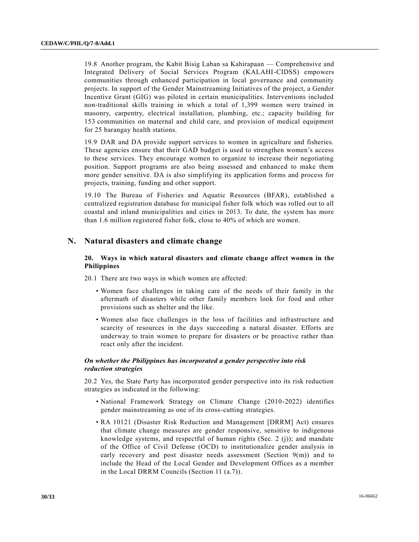19.8 Another program, the Kabit Bisig Laban sa Kahirapaan — Comprehensive and Integrated Delivery of Social Services Program (KALAHI-CIDSS) empowers communities through enhanced participation in local governance and community projects. In support of the Gender Mainstreaming Initiatives of the project, a Gender Incentive Grant (GIG) was piloted in certain municipalities. Interventions included non-traditional skills training in which a total of 1,399 women were trained in masonry, carpentry, electrical installation, plumbing, etc.; capacity building for 153 communities on maternal and child care, and provision of medical equipment for 25 barangay health stations.

19.9 DAR and DA provide support services to women in agriculture and fisheries. These agencies ensure that their GAD budget is used to strengthen women's access to these services. They encourage women to organize to increase their negotiating position. Support programs are also being assessed and enhanced to make them more gender sensitive. DA is also simplifying its application forms and process for projects, training, funding and other support.

19.10 The Bureau of Fisheries and Aquatic Resources (BFAR), established a centralized registration database for municipal fisher folk which was rolled out to all coastal and inland municipalities and cities in 2013. To date, the system has more than 1.6 million registered fisher folk, close to 40% of which are women.

# **N. Natural disasters and climate change**

# **20. Ways in which natural disasters and climate change affect women in the Philippines**

20.1 There are two ways in which women are affected:

- Women face challenges in taking care of the needs of their family in the aftermath of disasters while other family members look for food and other provisions such as shelter and the like.
- Women also face challenges in the loss of facilities and infrastructure and scarcity of resources in the days succeeding a natural disaster. Efforts are underway to train women to prepare for disasters or be proactive rather than react only after the incident.

# *On whether the Philippines has incorporated a gender perspective into risk reduction strategies*

20.2 Yes, the State Party has incorporated gender perspective into its risk reduction strategies as indicated in the following:

- National Framework Strategy on Climate Change (2010-2022) identifies gender mainstreaming as one of its cross-cutting strategies.
- RA 10121 (Disaster Risk Reduction and Management [DRRM] Act) ensures that climate change measures are gender responsive, sensitive to indigenous knowledge systems, and respectful of human rights (Sec. 2 (j)); and mandate of the Office of Civil Defense (OCD) to institutionalize gender analysis in early recovery and post disaster needs assessment (Section 9(m)) and to include the Head of the Local Gender and Development Offices as a member in the Local DRRM Councils (Section 11 (a.7)).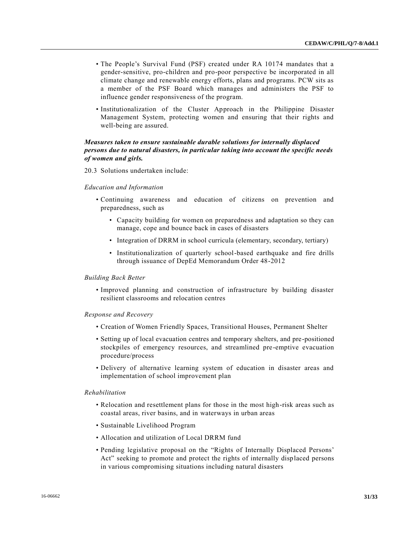- The People's Survival Fund (PSF) created under RA 10174 mandates that a gender-sensitive, pro-children and pro-poor perspective be incorporated in all climate change and renewable energy efforts, plans and programs. PCW sits as a member of the PSF Board which manages and administers the PSF to influence gender responsiveness of the program.
- Institutionalization of the Cluster Approach in the Philippine Disaster Management System, protecting women and ensuring that their rights and well-being are assured.

# *Measures taken to ensure sustainable durable solutions for internally displaced persons due to natural disasters, in particular taking into account the specific needs of women and girls.*

20.3 Solutions undertaken include:

#### *Education and Information*

- Continuing awareness and education of citizens on prevention and preparedness, such as
	- Capacity building for women on preparedness and adaptation so they can manage, cope and bounce back in cases of disasters
	- Integration of DRRM in school curricula (elementary, secondary, tertiary)
	- Institutionalization of quarterly school-based earthquake and fire drills through issuance of DepEd Memorandum Order 48-2012

#### *Building Back Better*

• Improved planning and construction of infrastructure by building disaster resilient classrooms and relocation centres

#### *Response and Recovery*

- Creation of Women Friendly Spaces, Transitional Houses, Permanent Shelter
- Setting up of local evacuation centres and temporary shelters, and pre-positioned stockpiles of emergency resources, and streamlined pre-emptive evacuation procedure/process
- Delivery of alternative learning system of education in disaster areas and implementation of school improvement plan

#### *Rehabilitation*

- Relocation and resettlement plans for those in the most high-risk areas such as coastal areas, river basins, and in waterways in urban areas
- Sustainable Livelihood Program
- Allocation and utilization of Local DRRM fund
- Pending legislative proposal on the "Rights of Internally Displaced Persons' Act" seeking to promote and protect the rights of internally displaced persons in various compromising situations including natural disasters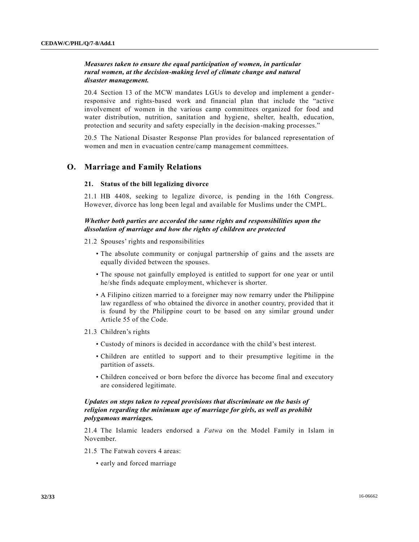# *Measures taken to ensure the equal participation of women, in particular rural women, at the decision-making level of climate change and natural disaster management.*

20.4 Section 13 of the MCW mandates LGUs to develop and implement a genderresponsive and rights-based work and financial plan that include the "active involvement of women in the various camp committees organized for food and water distribution, nutrition, sanitation and hygiene, shelter, health, education, protection and security and safety especially in the decision-making processes."

20.5 The National Disaster Response Plan provides for balanced representation of women and men in evacuation centre/camp management committees.

# **O. Marriage and Family Relations**

#### **21. Status of the bill legalizing divorce**

21.1 HB 4408, seeking to legalize divorce, is pending in the 16th Congress. However, divorce has long been legal and available for Muslims under the CMPL.

# *Whether both parties are accorded the same rights and responsibilities upon the dissolution of marriage and how the rights of children are protected*

- 21.2 Spouses' rights and responsibilities
	- The absolute community or conjugal partnership of gains and the assets are equally divided between the spouses.
	- The spouse not gainfully employed is entitled to support for one year or until he/she finds adequate employment, whichever is shorter.
	- A Filipino citizen married to a foreigner may now remarry under the Philippine law regardless of who obtained the divorce in another country, provided that it is found by the Philippine court to be based on any similar ground under Article 55 of the Code.
- 21.3 Children's rights
	- Custody of minors is decided in accordance with the child's best interest.
	- Children are entitled to support and to their presumptive legitime in the partition of assets.
	- Children conceived or born before the divorce has become final and executory are considered legitimate.

# *Updates on steps taken to repeal provisions that discriminate on the basis of religion regarding the minimum age of marriage for girls, as well as prohibit polygamous marriages.*

21.4 The Islamic leaders endorsed a *Fatwa* on the Model Family in Islam in November.

- 21.5 The Fatwah covers 4 areas:
	- early and forced marriage